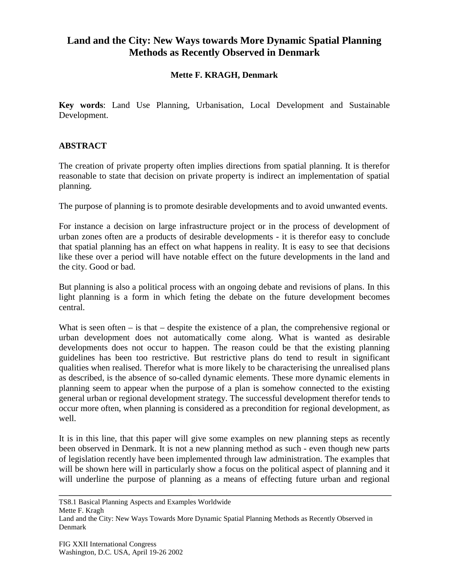## **Land and the City: New Ways towards More Dynamic Spatial Planning Methods as Recently Observed in Denmark**

## **Mette F. KRAGH, Denmark**

**Key words**: Land Use Planning, Urbanisation, Local Development and Sustainable Development.

## **ABSTRACT**

The creation of private property often implies directions from spatial planning. It is therefor reasonable to state that decision on private property is indirect an implementation of spatial planning.

The purpose of planning is to promote desirable developments and to avoid unwanted events.

For instance a decision on large infrastructure project or in the process of development of urban zones often are a products of desirable developments - it is therefor easy to conclude that spatial planning has an effect on what happens in reality. It is easy to see that decisions like these over a period will have notable effect on the future developments in the land and the city. Good or bad.

But planning is also a political process with an ongoing debate and revisions of plans. In this light planning is a form in which feting the debate on the future development becomes central.

What is seen often – is that – despite the existence of a plan, the comprehensive regional or urban development does not automatically come along. What is wanted as desirable developments does not occur to happen. The reason could be that the existing planning guidelines has been too restrictive. But restrictive plans do tend to result in significant qualities when realised. Therefor what is more likely to be characterising the unrealised plans as described, is the absence of so-called dynamic elements. These more dynamic elements in planning seem to appear when the purpose of a plan is somehow connected to the existing general urban or regional development strategy. The successful development therefor tends to occur more often, when planning is considered as a precondition for regional development, as well.

It is in this line, that this paper will give some examples on new planning steps as recently been observed in Denmark. It is not a new planning method as such - even though new parts of legislation recently have been implemented through law administration. The examples that will be shown here will in particularly show a focus on the political aspect of planning and it will underline the purpose of planning as a means of effecting future urban and regional